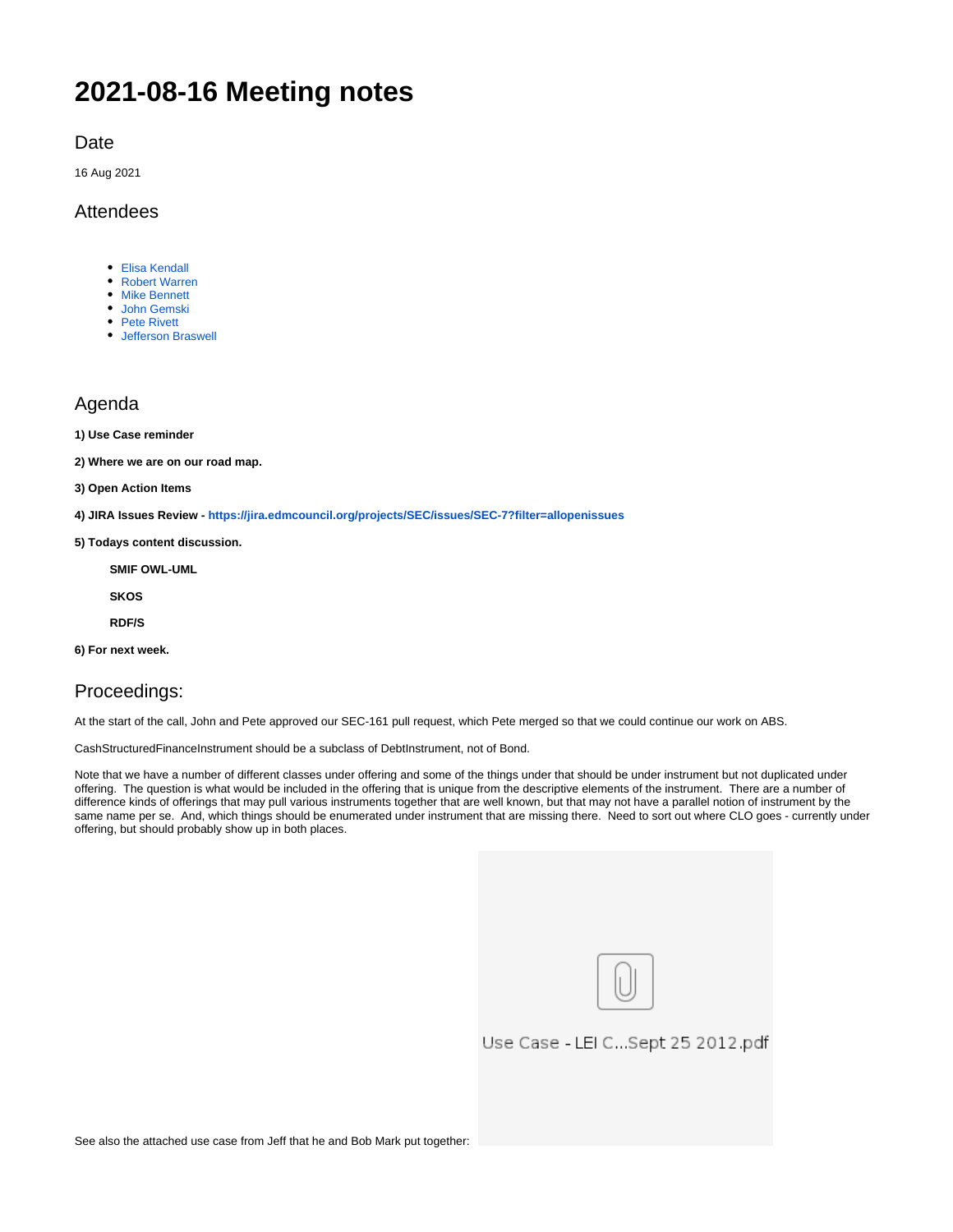# **2021-08-16 Meeting notes**

#### Date

16 Aug 2021

#### Attendees

- [Elisa Kendall](https://wiki.edmcouncil.org/display/~ElisaKendall)
- [Robert Warren](https://wiki.edmcouncil.org/display/~rwarren)
- **[Mike Bennett](https://wiki.edmcouncil.org/display/~MikeHypercube)** [John Gemski](https://wiki.edmcouncil.org/display/~jgemski)
- [Pete Rivett](https://wiki.edmcouncil.org/display/~rivettp)
- [Jefferson Braswell](https://wiki.edmcouncil.org/display/~ljb)

### Agenda

**1) Use Case reminder**

**2) Where we are on our road map.** 

- **3) Open Action Items**
- **4) JIRA Issues Review <https://jira.edmcouncil.org/projects/SEC/issues/SEC-7?filter=allopenissues>**
- **5) Todays content discussion.**

**SMIF OWL-UML**

**SKOS**

**RDF/S**

**6) For next week.**

## Proceedings:

At the start of the call, John and Pete approved our SEC-161 pull request, which Pete merged so that we could continue our work on ABS.

CashStructuredFinanceInstrument should be a subclass of DebtInstrument, not of Bond.

Note that we have a number of different classes under offering and some of the things under that should be under instrument but not duplicated under offering. The question is what would be included in the offering that is unique from the descriptive elements of the instrument. There are a number of difference kinds of offerings that may pull various instruments together that are well known, but that may not have a parallel notion of instrument by the same name per se. And, which things should be enumerated under instrument that are missing there. Need to sort out where CLO goes - currently under offering, but should probably show up in both places.

| Use Case - LEI CSept 25 2012.pdf |
|----------------------------------|
|                                  |
|                                  |

See also the attached use case from Jeff that he and Bob Mark put together: